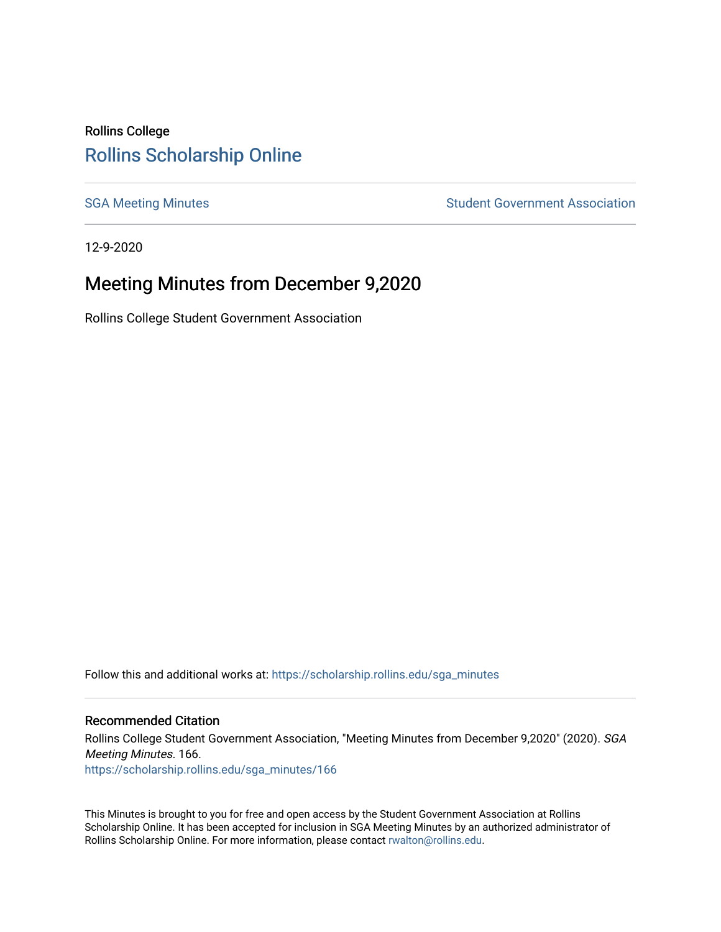# Rollins College [Rollins Scholarship Online](https://scholarship.rollins.edu/)

[SGA Meeting Minutes](https://scholarship.rollins.edu/sga_minutes) **SGA Meeting Minutes** SGA Meeting Minutes **STEER** Student Government Association

12-9-2020

# Meeting Minutes from December 9,2020

Rollins College Student Government Association

Follow this and additional works at: [https://scholarship.rollins.edu/sga\\_minutes](https://scholarship.rollins.edu/sga_minutes?utm_source=scholarship.rollins.edu%2Fsga_minutes%2F166&utm_medium=PDF&utm_campaign=PDFCoverPages)

#### Recommended Citation

Rollins College Student Government Association, "Meeting Minutes from December 9,2020" (2020). SGA Meeting Minutes. 166. [https://scholarship.rollins.edu/sga\\_minutes/166](https://scholarship.rollins.edu/sga_minutes/166?utm_source=scholarship.rollins.edu%2Fsga_minutes%2F166&utm_medium=PDF&utm_campaign=PDFCoverPages)

This Minutes is brought to you for free and open access by the Student Government Association at Rollins Scholarship Online. It has been accepted for inclusion in SGA Meeting Minutes by an authorized administrator of Rollins Scholarship Online. For more information, please contact [rwalton@rollins.edu](mailto:rwalton@rollins.edu).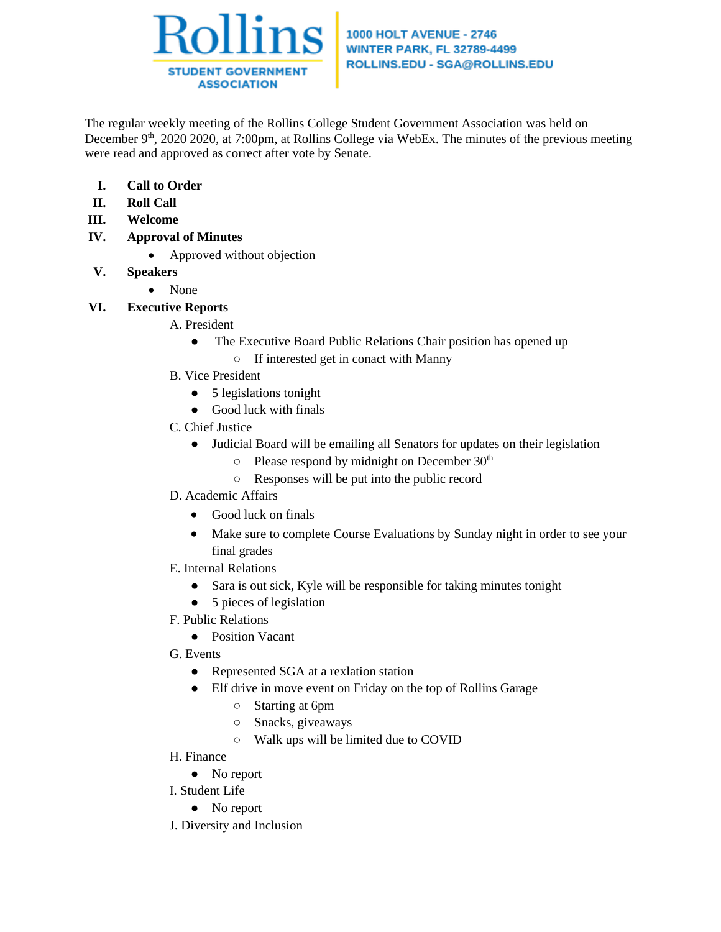

The regular weekly meeting of the Rollins College Student Government Association was held on December 9<sup>th</sup>, 2020 2020, at 7:00pm, at Rollins College via WebEx. The minutes of the previous meeting were read and approved as correct after vote by Senate.

- **I. Call to Order**
- **II. Roll Call**
- **III. Welcome**
- **IV. Approval of Minutes**
	- Approved without objection
- **V. Speakers**
	- None
- **VI. Executive Reports**
	- A. President
		- The Executive Board Public Relations Chair position has opened up
			- If interested get in conact with Manny
	- B. Vice President
		- 5 legislations tonight
		- Good luck with finals
	- C. Chief Justice
		- Judicial Board will be emailing all Senators for updates on their legislation
			- Please respond by midnight on December 30th
			- Responses will be put into the public record
	- D. Academic Affairs
		- Good luck on finals
		- Make sure to complete Course Evaluations by Sunday night in order to see your final grades
	- E. Internal Relations
		- Sara is out sick, Kyle will be responsible for taking minutes tonight
		- 5 pieces of legislation
	- F. Public Relations
		- Position Vacant
	- G. Events
		- Represented SGA at a rexlation station
		- Elf drive in move event on Friday on the top of Rollins Garage
			- Starting at 6pm
			- Snacks, giveaways
			- Walk ups will be limited due to COVID
	- H. Finance
	- No report
	- I. Student Life
		- No report
	- J. Diversity and Inclusion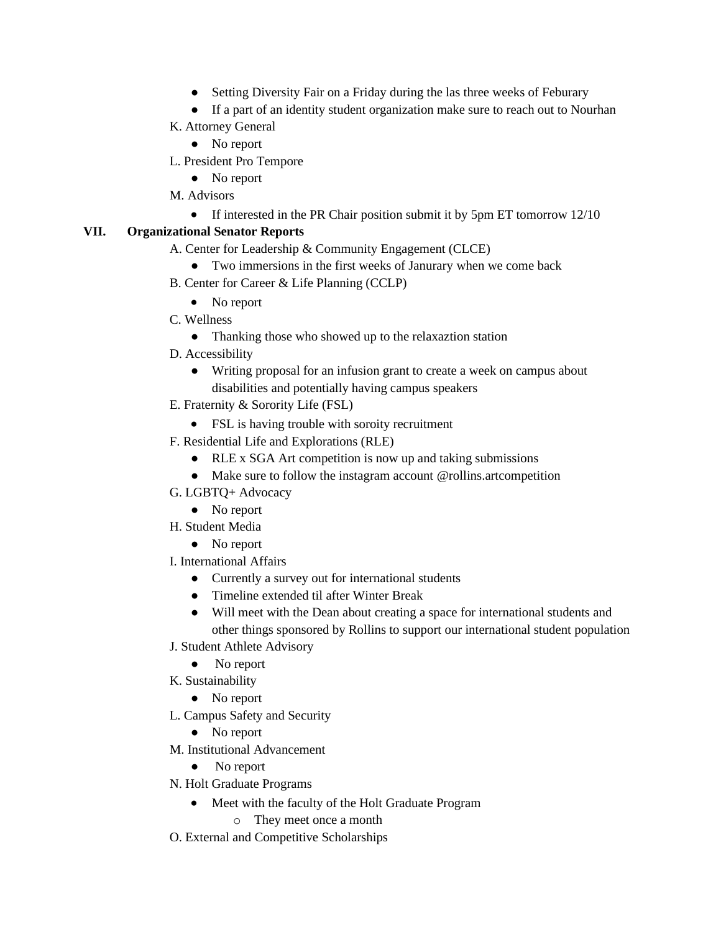- Setting Diversity Fair on a Friday during the las three weeks of Feburary
- If a part of an identity student organization make sure to reach out to Nourhan

### K. Attorney General

- No report
- L. President Pro Tempore
	- No report
- M. Advisors
	- If interested in the PR Chair position submit it by 5pm ET tomorrow 12/10

#### **VII. Organizational Senator Reports**

- A. Center for Leadership & Community Engagement (CLCE)
	- Two immersions in the first weeks of Janurary when we come back
- B. Center for Career & Life Planning (CCLP)
	- No report
- C. Wellness
	- Thanking those who showed up to the relaxaztion station
- D. Accessibility
	- Writing proposal for an infusion grant to create a week on campus about disabilities and potentially having campus speakers
- E. Fraternity & Sorority Life (FSL)
	- FSL is having trouble with soroity recruitment
- F. Residential Life and Explorations (RLE)
	- RLE x SGA Art competition is now up and taking submissions
	- Make sure to follow the instagram account @rollins.artcompetition
- G. LGBTQ+ Advocacy
	- No report
- H. Student Media
	- No report
- I. International Affairs
	- Currently a survey out for international students
	- Timeline extended til after Winter Break
	- Will meet with the Dean about creating a space for international students and other things sponsored by Rollins to support our international student population
- J. Student Athlete Advisory
	- No report
- K. Sustainability
	- No report
- L. Campus Safety and Security
	- No report
- M. Institutional Advancement
	- No report
- N. Holt Graduate Programs
	- Meet with the faculty of the Holt Graduate Program
		- o They meet once a month
- O. External and Competitive Scholarships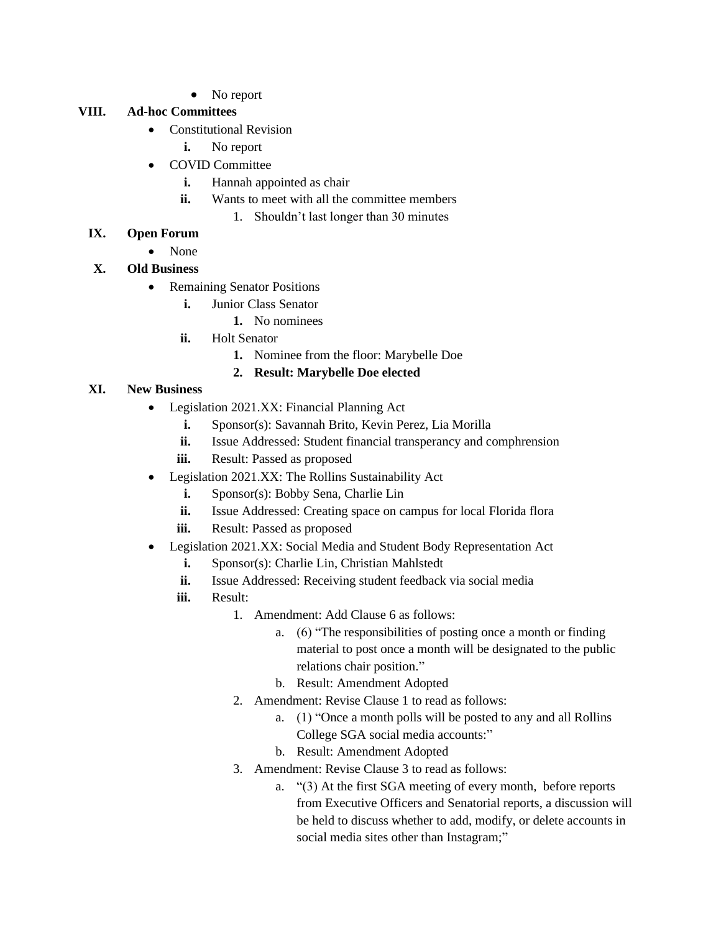• No report

#### **VIII. Ad-hoc Committees**

- Constitutional Revision
	- **i.** No report
- COVID Committee
	- **i.** Hannah appointed as chair
	- **ii.** Wants to meet with all the committee members
		- 1. Shouldn't last longer than 30 minutes

### **IX. Open Forum**

• None

### **X. Old Business**

- Remaining Senator Positions
	- **i.** Junior Class Senator
		- **1.** No nominees
	- **ii.** Holt Senator
		- **1.** Nominee from the floor: Marybelle Doe

### **2. Result: Marybelle Doe elected**

#### **XI. New Business**

- Legislation 2021.XX: Financial Planning Act
	- **i.** Sponsor(s): Savannah Brito, Kevin Perez, Lia Morilla
	- **ii.** Issue Addressed: Student financial transperancy and comphrension
	- iii. Result: Passed as proposed
- Legislation 2021.XX: The Rollins Sustainability Act
	- **i.** Sponsor(s): Bobby Sena, Charlie Lin
	- ii. Issue Addressed: Creating space on campus for local Florida flora
	- **iii.** Result: Passed as proposed
- Legislation 2021.XX: Social Media and Student Body Representation Act
	- **i.** Sponsor(s): Charlie Lin, Christian Mahlstedt
	- **ii.** Issue Addressed: Receiving student feedback via social media
	- **iii.** Result:
		- 1. Amendment: Add Clause 6 as follows:
			- a. (6) "The responsibilities of posting once a month or finding material to post once a month will be designated to the public relations chair position."
			- b. Result: Amendment Adopted
		- 2. Amendment: Revise Clause 1 to read as follows:
			- a. (1) "Once a month polls will be posted to any and all Rollins College SGA social media accounts:"
			- b. Result: Amendment Adopted
		- 3. Amendment: Revise Clause 3 to read as follows:
			- a. "(3) At the first SGA meeting of every month, before reports from Executive Officers and Senatorial reports, a discussion will be held to discuss whether to add, modify, or delete accounts in social media sites other than Instagram;"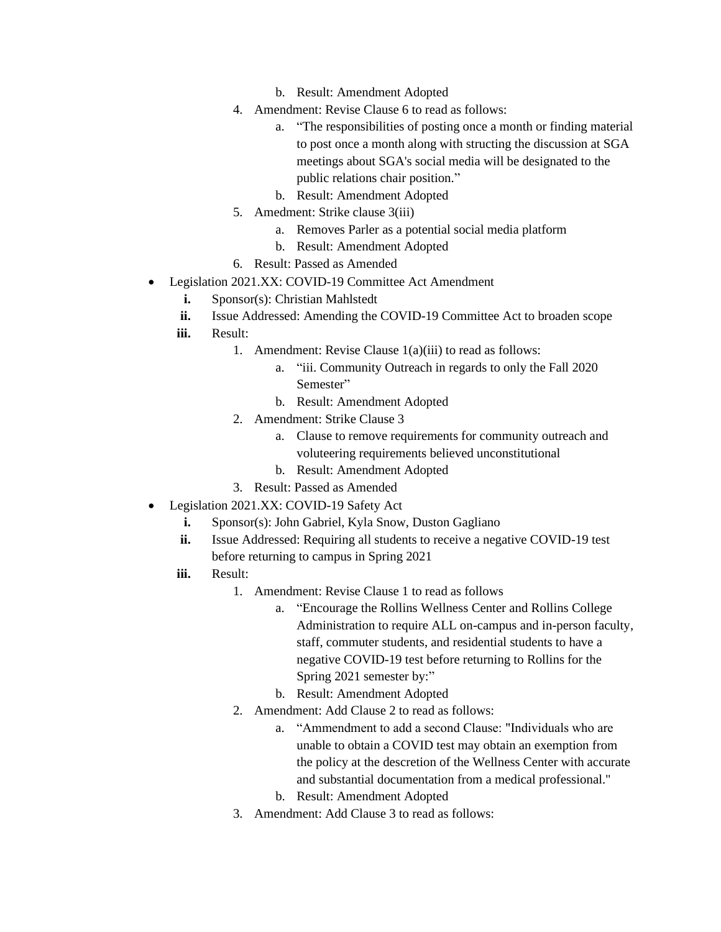- b. Result: Amendment Adopted
- 4. Amendment: Revise Clause 6 to read as follows:
	- a. "The responsibilities of posting once a month or finding material to post once a month along with structing the discussion at SGA meetings about SGA's social media will be designated to the public relations chair position."
	- b. Result: Amendment Adopted
- 5. Amedment: Strike clause 3(iii)
	- a. Removes Parler as a potential social media platform
	- b. Result: Amendment Adopted
- 6. Result: Passed as Amended
- Legislation 2021.XX: COVID-19 Committee Act Amendment
	- **i.** Sponsor(s): Christian Mahlstedt
	- ii. Issue Addressed: Amending the COVID-19 Committee Act to broaden scope
	- **iii.** Result:
		- 1. Amendment: Revise Clause 1(a)(iii) to read as follows:
			- a. "iii. Community Outreach in regards to only the Fall 2020 Semester"
			- b. Result: Amendment Adopted
		- 2. Amendment: Strike Clause 3
			- a. Clause to remove requirements for community outreach and voluteering requirements believed unconstitutional
			- b. Result: Amendment Adopted
		- 3. Result: Passed as Amended
- Legislation 2021.XX: COVID-19 Safety Act
	- **i.** Sponsor(s): John Gabriel, Kyla Snow, Duston Gagliano
	- **ii.** Issue Addressed: Requiring all students to receive a negative COVID-19 test before returning to campus in Spring 2021
	- **iii.** Result:
		- 1. Amendment: Revise Clause 1 to read as follows
			- a. "Encourage the Rollins Wellness Center and Rollins College Administration to require ALL on-campus and in-person faculty, staff, commuter students, and residential students to have a negative COVID-19 test before returning to Rollins for the Spring 2021 semester by:"
			- b. Result: Amendment Adopted
		- 2. Amendment: Add Clause 2 to read as follows:
			- a. "Ammendment to add a second Clause: "Individuals who are unable to obtain a COVID test may obtain an exemption from the policy at the descretion of the Wellness Center with accurate and substantial documentation from a medical professional."
			- b. Result: Amendment Adopted
		- 3. Amendment: Add Clause 3 to read as follows: